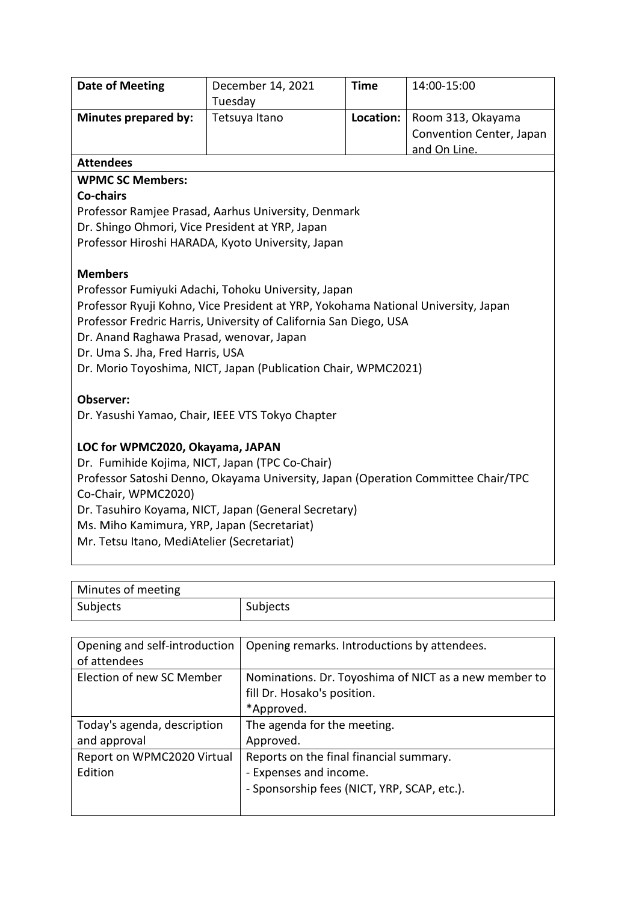| <b>Date of Meeting</b>                                                            | December 14, 2021<br>Tuesday                                                      | <b>Time</b> | 14:00-15:00                                                   |  |  |
|-----------------------------------------------------------------------------------|-----------------------------------------------------------------------------------|-------------|---------------------------------------------------------------|--|--|
| Minutes prepared by:                                                              | Tetsuya Itano                                                                     | Location:   | Room 313, Okayama<br>Convention Center, Japan<br>and On Line. |  |  |
| <b>Attendees</b>                                                                  |                                                                                   |             |                                                               |  |  |
| <b>WPMC SC Members:</b>                                                           |                                                                                   |             |                                                               |  |  |
| Co-chairs                                                                         |                                                                                   |             |                                                               |  |  |
| Professor Ramjee Prasad, Aarhus University, Denmark                               |                                                                                   |             |                                                               |  |  |
| Dr. Shingo Ohmori, Vice President at YRP, Japan                                   |                                                                                   |             |                                                               |  |  |
| Professor Hiroshi HARADA, Kyoto University, Japan                                 |                                                                                   |             |                                                               |  |  |
| <b>Members</b>                                                                    |                                                                                   |             |                                                               |  |  |
|                                                                                   | Professor Fumiyuki Adachi, Tohoku University, Japan                               |             |                                                               |  |  |
|                                                                                   | Professor Ryuji Kohno, Vice President at YRP, Yokohama National University, Japan |             |                                                               |  |  |
|                                                                                   | Professor Fredric Harris, University of California San Diego, USA                 |             |                                                               |  |  |
| Dr. Anand Raghawa Prasad, wenovar, Japan                                          |                                                                                   |             |                                                               |  |  |
| Dr. Uma S. Jha, Fred Harris, USA                                                  |                                                                                   |             |                                                               |  |  |
|                                                                                   | Dr. Morio Toyoshima, NICT, Japan (Publication Chair, WPMC2021)                    |             |                                                               |  |  |
| Observer:                                                                         |                                                                                   |             |                                                               |  |  |
|                                                                                   | Dr. Yasushi Yamao, Chair, IEEE VTS Tokyo Chapter                                  |             |                                                               |  |  |
| LOC for WPMC2020, Okayama, JAPAN                                                  |                                                                                   |             |                                                               |  |  |
| Dr. Fumihide Kojima, NICT, Japan (TPC Co-Chair)                                   |                                                                                   |             |                                                               |  |  |
| Professor Satoshi Denno, Okayama University, Japan (Operation Committee Chair/TPC |                                                                                   |             |                                                               |  |  |
| Co-Chair, WPMC2020)                                                               |                                                                                   |             |                                                               |  |  |
| Dr. Tasuhiro Koyama, NICT, Japan (General Secretary)                              |                                                                                   |             |                                                               |  |  |
| Ms. Miho Kamimura, YRP, Japan (Secretariat)                                       |                                                                                   |             |                                                               |  |  |
| Mr. Tetsu Itano, MediAtelier (Secretariat)                                        |                                                                                   |             |                                                               |  |  |
|                                                                                   |                                                                                   |             |                                                               |  |  |

| Minutes of meeting |          |
|--------------------|----------|
| Subjects           | Subjects |

| Opening and self-introduction<br>of attendees | Opening remarks. Introductions by attendees.                                                                     |
|-----------------------------------------------|------------------------------------------------------------------------------------------------------------------|
| Election of new SC Member                     | Nominations. Dr. Toyoshima of NICT as a new member to<br>fill Dr. Hosako's position.<br>*Approved.               |
| Today's agenda, description<br>and approval   | The agenda for the meeting.<br>Approved.                                                                         |
| Report on WPMC2020 Virtual<br>Edition         | Reports on the final financial summary.<br>- Expenses and income.<br>- Sponsorship fees (NICT, YRP, SCAP, etc.). |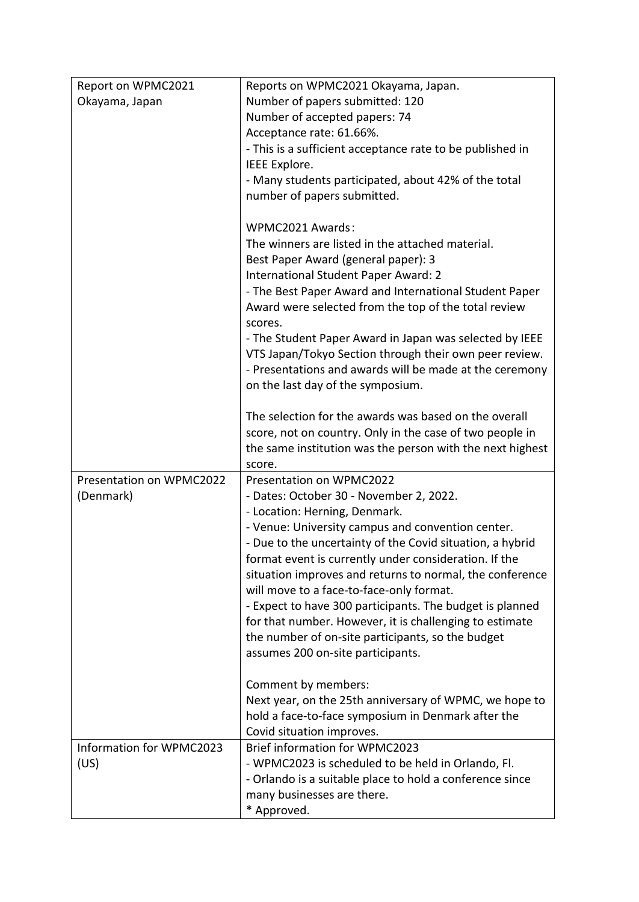| Report on WPMC2021       | Reports on WPMC2021 Okayama, Japan.                       |  |
|--------------------------|-----------------------------------------------------------|--|
| Okayama, Japan           | Number of papers submitted: 120                           |  |
|                          | Number of accepted papers: 74                             |  |
|                          | Acceptance rate: 61.66%.                                  |  |
|                          | - This is a sufficient acceptance rate to be published in |  |
|                          | IEEE Explore.                                             |  |
|                          | - Many students participated, about 42% of the total      |  |
|                          | number of papers submitted.                               |  |
|                          |                                                           |  |
|                          | WPMC2021 Awards:                                          |  |
|                          | The winners are listed in the attached material.          |  |
|                          | Best Paper Award (general paper): 3                       |  |
|                          | International Student Paper Award: 2                      |  |
|                          | - The Best Paper Award and International Student Paper    |  |
|                          | Award were selected from the top of the total review      |  |
|                          | scores.                                                   |  |
|                          | - The Student Paper Award in Japan was selected by IEEE   |  |
|                          | VTS Japan/Tokyo Section through their own peer review.    |  |
|                          | - Presentations and awards will be made at the ceremony   |  |
|                          | on the last day of the symposium.                         |  |
|                          |                                                           |  |
|                          | The selection for the awards was based on the overall     |  |
|                          | score, not on country. Only in the case of two people in  |  |
|                          | the same institution was the person with the next highest |  |
| Presentation on WPMC2022 | score.<br>Presentation on WPMC2022                        |  |
| (Denmark)                | - Dates: October 30 - November 2, 2022.                   |  |
|                          | - Location: Herning, Denmark.                             |  |
|                          | - Venue: University campus and convention center.         |  |
|                          | - Due to the uncertainty of the Covid situation, a hybrid |  |
|                          | format event is currently under consideration. If the     |  |
|                          | situation improves and returns to normal, the conference  |  |
|                          | will move to a face-to-face-only format.                  |  |
|                          | - Expect to have 300 participants. The budget is planned  |  |
|                          | for that number. However, it is challenging to estimate   |  |
|                          | the number of on-site participants, so the budget         |  |
|                          | assumes 200 on-site participants.                         |  |
|                          |                                                           |  |
|                          | Comment by members:                                       |  |
|                          | Next year, on the 25th anniversary of WPMC, we hope to    |  |
|                          | hold a face-to-face symposium in Denmark after the        |  |
|                          | Covid situation improves.                                 |  |
| Information for WPMC2023 | Brief information for WPMC2023                            |  |
| (US)                     | - WPMC2023 is scheduled to be held in Orlando, Fl.        |  |
|                          | - Orlando is a suitable place to hold a conference since  |  |
|                          |                                                           |  |
|                          | many businesses are there.<br>* Approved.                 |  |